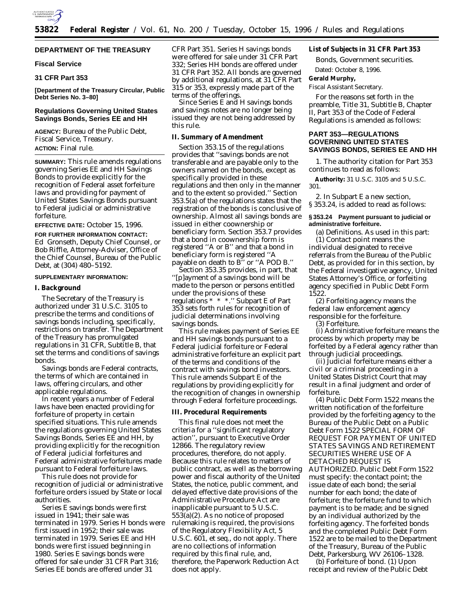

# **DEPARTMENT OF THE TREASURY**

#### **Fiscal Service**

# **31 CFR Part 353**

**[Department of the Treasury Circular, Public Debt Series No. 3–80]**

## **Regulations Governing United States Savings Bonds, Series EE and HH**

**AGENCY:** Bureau of the Public Debt, Fiscal Service, Treasury.

**ACTION:** Final rule.

**SUMMARY:** This rule amends regulations governing Series EE and HH Savings Bonds to provide explicitly for the recognition of Federal asset forfeiture laws and providing for payment of United States Savings Bonds pursuant to Federal judicial or administrative forfeiture.

**EFFECTIVE DATE:** October 15, 1996.

**FOR FURTHER INFORMATION CONTACT:** Ed Gronseth, Deputy Chief Counsel, or Bob Riffle, Attorney-Adviser, Office of the Chief Counsel, Bureau of the Public Debt, at (304) 480–5192.

### **SUPPLEMENTARY INFORMATION:**

#### **I. Background**

The Secretary of the Treasury is authorized under 31 U.S.C. 3105 to prescribe the terms and conditions of savings bonds including, specifically, restrictions on transfer. The Department of the Treasury has promulgated regulations in 31 CFR, Subtitle B, that set the terms and conditions of savings bonds.

Savings bonds are Federal contracts, the terms of which are contained in laws, offering circulars, and other applicable regulations.

In recent years a number of Federal laws have been enacted providing for forfeiture of property in certain specified situations. This rule amends the regulations governing United States Savings Bonds, Series EE and HH, by providing explicitly for the recognition of Federal judicial forfeitures and Federal administrative forfeitures made pursuant to Federal forfeiture laws.

This rule does not provide for recognition of judicial or administrative forfeiture orders issued by State or local authorities.

Series E savings bonds were first issued in 1941; their sale was terminated in 1979. Series H bonds were first issued in 1952; their sale was terminated in 1979. Series EE and HH bonds were first issued beginning in 1980. Series E savings bonds were offered for sale under 31 CFR Part 316; Series EE bonds are offered under 31

CFR Part 351. Series H savings bonds were offered for sale under 31 CFR Part 332; Series HH bonds are offered under 31 CFR Part 352. All bonds are governed by additional regulations, at 31 CFR Part 315 or 353, expressly made part of the terms of the offerings.

Since Series E and H savings bonds and savings notes are no longer being issued they are not being addressed by this rule.

## **II. Summary of Amendment**

Section 353.15 of the regulations provides that ''savings bonds are not transferable and are payable only to the owners named on the bonds, except as specifically provided in these regulations and then only in the manner and to the extent so provided.'' Section 353.5(a) of the regulations states that the registration of the bonds is conclusive of ownership. Almost all savings bonds are issued in either coownership or beneficiary form. Section 353.7 provides that a bond in coownership form is registered ''A or B'' and that a bond in beneficiary form is registered ''A payable on death to B'' or ''A POD B.''

Section 353.35 provides, in part, that ''[p]ayment of a savings bond will be made to the person or persons entitled under the provisions of these regulations \* \* \*.'' Subpart E of Part 353 sets forth rules for recognition of judicial determinations involving savings bonds.

This rule makes payment of Series EE and HH savings bonds pursuant to a Federal judicial forfeiture or Federal administrative forfeiture an explicit part of the terms and conditions of the contract with savings bond investors. This rule amends Subpart E of the regulations by providing explicitly for the recognition of changes in ownership through Federal forfeiture proceedings.

## **III. Procedural Requirements**

This final rule does not meet the criteria for a ''significant regulatory action'', pursuant to Executive Order 12866. The regulatory review procedures, therefore, do not apply. Because this rule relates to matters of public contract, as well as the borrowing power and fiscal authority of the United States, the notice, public comment, and delayed effective date provisions of the Administrative Procedure Act are inapplicable pursuant to 5 U.S.C. 553(a)(2). As no notice of proposed rulemaking is required, the provisions of the Regulatory Flexibility Act, 5 U.S.C. 601, *et seq.,* do not apply. There are no collections of information required by this final rule, and, therefore, the Paperwork Reduction Act does not apply.

# **List of Subjects in 31 CFR Part 353**

Bonds, Government securities.

Dated: October 8, 1996.

#### **Gerald Murphy,**

*Fiscal Assistant Secretary.*

For the reasons set forth in the preamble, Title 31, Subtitle B, Chapter II, Part 353 of the Code of Federal Regulations is amended as follows:

# **PART 353—REGULATIONS GOVERNING UNITED STATES SAVINGS BONDS, SERIES EE AND HH**

1. The authority citation for Part 353 continues to read as follows:

**Authority:** 31 U.S.C. 3105 and 5 U.S.C. 301.

2. In Subpart E a new section, § 353.24, is added to read as follows:

### **§ 353.24 Payment pursuant to judicial or administrative forfeiture.**

(a) *Definitions.* As used in this part: (1) *Contact point* means the individual designated to receive referrals from the Bureau of the Public Debt, as provided for in this section, by the Federal investigative agency, United States Attorney's Office, or forfeiting agency specified in Public Debt Form 1522.

(2) *Forfeiting agency* means the federal law enforcement agency responsible for the forfeiture.

(3) *Forfeiture.*

(i) *Administrative forfeiture* means the process by which property may be forfeited by a Federal agency rather than through judicial proceedings.

(ii) *Judicial forfeiture* means either a civil or a criminal proceeding in a United States District Court that may result in a final judgment and order of forfeiture.

(4) *Public Debt Form 1522* means the written notification of the forfeiture provided by the forfeiting agency to the Bureau of the Public Debt on a Public Debt Form 1522 SPECIAL FORM OF REQUEST FOR PAYMENT OF UNITED STATES SAVINGS AND RETIREMENT SECURITIES WHERE USE OF A DETACHED REQUEST IS AUTHORIZED. Public Debt Form 1522 must specify: the contact point; the issue date of each bond; the serial number for each bond; the date of forfeiture; the forfeiture fund to which payment is to be made; and be signed by an individual authorized by the forfeiting agency. The forfeited bonds and the completed Public Debt Form 1522 are to be mailed to the Department of the Treasury, Bureau of the Public Debt, Parkersburg, WV 26106–1328.

(b) *Forfeiture of bond.* (1) Upon receipt and review of the Public Debt